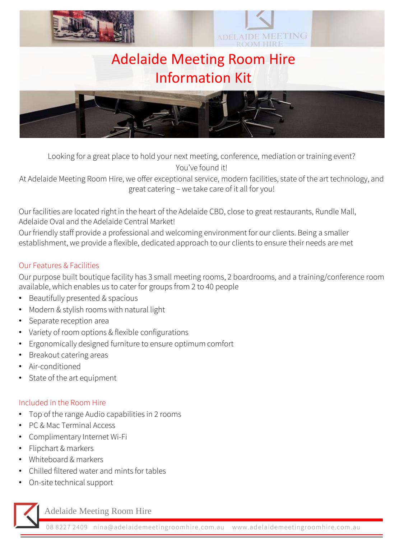

Looking for a great place to hold your next meeting, conference, mediation or training event? You've found it!

At Adelaide Meeting Room Hire, we offer exceptional service, modern facilities, state of the art technology, and great catering – we take care of it all for you!

Our facilities are located right in the heart of the Adelaide CBD, close to great restaurants, Rundle Mall, Adelaide Oval and the Adelaide Central Market!

Our friendly staff provide a professional and welcoming environment for our clients. Being a smaller establishment, we provide a flexible, dedicated approach to our clients to ensure their needs are met

# Our Features & Facilities

Our purpose built boutique facility has 3 small meeting rooms, 2 boardrooms, and a training/conference room available, which enables us to cater for groups from 2 to 40 people

- Beautifully presented & spacious
- Modern & stylish rooms with natural light
- Separate reception area
- Variety of room options & flexible configurations
- Ergonomically designed furniture to ensure optimum comfort
- Breakout catering areas
- Air-conditioned
- State of the art equipment

# Included in the Room Hire

- Top of the range Audio capabilities in 2 rooms
- PC & Mac Terminal Access
- Complimentary Internet Wi-Fi
- Flipchart & markers
- Whiteboard & markers
- Chilled filtered water and mints for tables
- On-site technical support

Adelaide Meeting Room Hire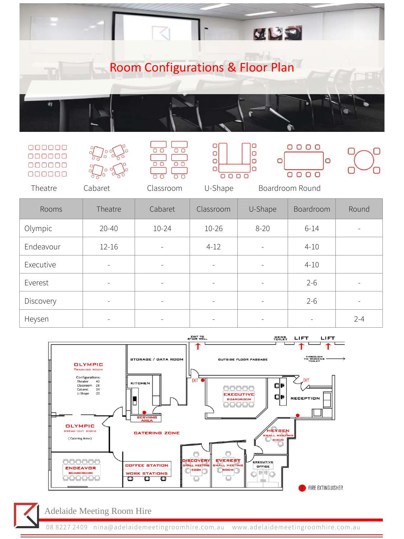

#### 000000  $000000$ 000000 000000



 $\overline{O}$  $\overline{O}$  $\overline{\circ}$  $\overline{\cap}$ 







 $\Box$ 

Theatre Cabaret Classroom U-Shape Boardroom Round

| <b>Rooms</b> | Theatre                  | Cabaret                  | Classroom                | U-Shape                  | Boardroom | Round   |
|--------------|--------------------------|--------------------------|--------------------------|--------------------------|-----------|---------|
| Olympic      | $20 - 40$                | $10 - 24$                | $10 - 26$                | $8 - 20$                 | $6 - 14$  |         |
| Endeavour    | $12 - 16$                | $\overline{\phantom{a}}$ | $4 - 12$                 | $\qquad \qquad -$        | $4 - 10$  |         |
| Executive    | $\overline{\phantom{a}}$ | $\overline{\phantom{a}}$ | -                        | -                        | $4 - 10$  |         |
| Everest      | $\overline{\phantom{a}}$ | $\overline{\phantom{a}}$ | $\overline{\phantom{a}}$ | $\overline{\phantom{a}}$ | $2 - 6$   |         |
| Discovery    | $\overline{\phantom{a}}$ | Ξ.                       |                          |                          | $2 - 6$   |         |
| Heysen       | -                        | ۰                        | -                        | -                        | -         | $2 - 4$ |



# Adelaide Meeting Room Hire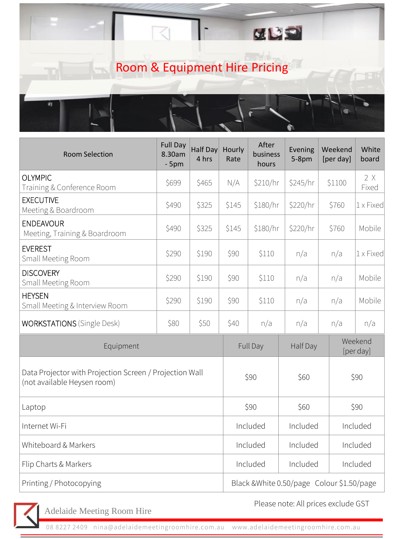|  |                               | $\mathbf{C}$ |  |
|--|-------------------------------|--------------|--|
|  | Room & Equipment Hire Pricing |              |  |
|  |                               |              |  |

| <b>Room Selection</b>                                                                  | <b>Full Day</b><br>8.30am<br>$-5pm$ | Half Day<br>4 hrs | Hourly<br>Rate | After<br>business<br>hours                 | Evening<br>$5-8pm$ | Weekend<br>[per day] | White<br>board       |  |
|----------------------------------------------------------------------------------------|-------------------------------------|-------------------|----------------|--------------------------------------------|--------------------|----------------------|----------------------|--|
| <b>OLYMPIC</b><br>Training & Conference Room                                           | \$699                               | \$465             | N/A            | \$210/hr                                   | \$245/hr           | \$1100               | 2 X<br>Fixed         |  |
| <b>EXECUTIVE</b><br>Meeting & Boardroom                                                | \$490                               | \$325             | \$145          | \$180/hr                                   | \$220/hr           | \$760                | 1 x Fixed            |  |
| <b>ENDEAVOUR</b><br>Meeting, Training & Boardroom                                      | \$490                               | \$325             | \$145          | \$180/hr                                   | \$220/hr           | \$760                | Mobile               |  |
| <b>EVEREST</b><br>Small Meeting Room                                                   | \$290                               | \$190             | \$90           | \$110                                      | n/a                | n/a                  | 1 x Fixed            |  |
| <b>DISCOVERY</b><br>Small Meeting Room                                                 | \$290                               | \$190             | \$90           | \$110                                      | n/a                | n/a                  | Mobile               |  |
| <b>HEYSEN</b><br>Small Meeting & Interview Room                                        | \$290                               | \$190             | \$90           | \$110                                      | n/a                | n/a                  | Mobile               |  |
| <b>WORKSTATIONS</b> (Single Desk)                                                      | \$80                                | \$50              | \$40           | n/a                                        | n/a                | n/a                  | n/a                  |  |
| Equipment                                                                              |                                     |                   |                | <b>Full Day</b>                            | Half Day           |                      | Weekend<br>[per day] |  |
| Data Projector with Projection Screen / Projection Wall<br>(not available Heysen room) |                                     |                   |                | \$90                                       |                    |                      | \$90                 |  |
| Laptop                                                                                 |                                     |                   | \$90           |                                            | \$60               |                      | \$90                 |  |
| Internet Wi-Fi                                                                         |                                     |                   |                | Included                                   |                    | Included             | Included             |  |
| Whiteboard & Markers                                                                   |                                     |                   |                | Included                                   |                    | Included             | Included             |  |
| Flip Charts & Markers                                                                  |                                     |                   |                | Included                                   | Included           |                      | Included             |  |
| Printing / Photocopying                                                                |                                     |                   |                | Black & White 0.50/page Colour \$1.50/page |                    |                      |                      |  |



Adelaide Meeting Room Hire

Please note: All prices exclude GST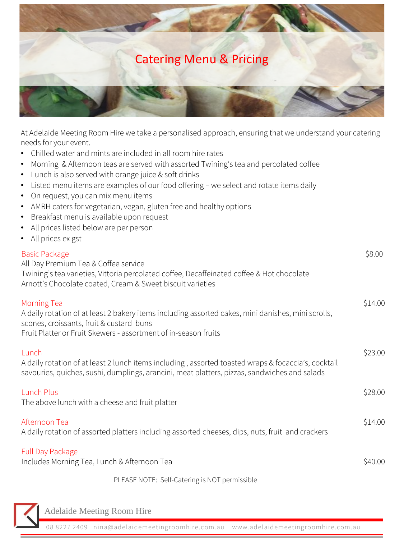

At Adelaide Meeting Room Hire we take a personalised approach, ensuring that we understand your catering needs for your event.

- Chilled water and mints are included in all room hire rates
- Morning & Afternoon teas are served with assorted Twining's tea and percolated coffee
- Lunch is also served with orange juice & soft drinks
- Listed menu items are examples of our food offering we select and rotate items daily
- On request, you can mix menu items
- AMRH caters for vegetarian, vegan, gluten free and healthy options
- Breakfast menu is available upon request
- All prices listed below are per person
- All prices ex gst

| <b>Basic Package</b><br>All Day Premium Tea & Coffee service<br>Twining's tea varieties, Vittoria percolated coffee, Decaffeinated coffee & Hot chocolate<br>Arnott's Chocolate coated, Cream & Sweet biscuit varieties                 | \$8.00  |
|-----------------------------------------------------------------------------------------------------------------------------------------------------------------------------------------------------------------------------------------|---------|
| <b>Morning Tea</b><br>A daily rotation of at least 2 bakery items including assorted cakes, mini danishes, mini scrolls,<br>scones, croissants, fruit & custard buns<br>Fruit Platter or Fruit Skewers - assortment of in-season fruits | \$14.00 |
| Lunch<br>A daily rotation of at least 2 lunch items including, assorted toasted wraps & focaccia's, cocktail<br>savouries, quiches, sushi, dumplings, arancini, meat platters, pizzas, sandwiches and salads                            | \$23.00 |
| Lunch Plus<br>The above lunch with a cheese and fruit platter                                                                                                                                                                           | \$28.00 |
| Afternoon Tea<br>A daily rotation of assorted platters including assorted cheeses, dips, nuts, fruit and crackers                                                                                                                       | \$14.00 |
| <b>Full Day Package</b><br>Includes Morning Tea, Lunch & Afternoon Tea                                                                                                                                                                  | \$40.00 |
| PLEASE NOTE: Self-Catering is NOT permissible                                                                                                                                                                                           |         |

Adelaide Meeting Room Hire